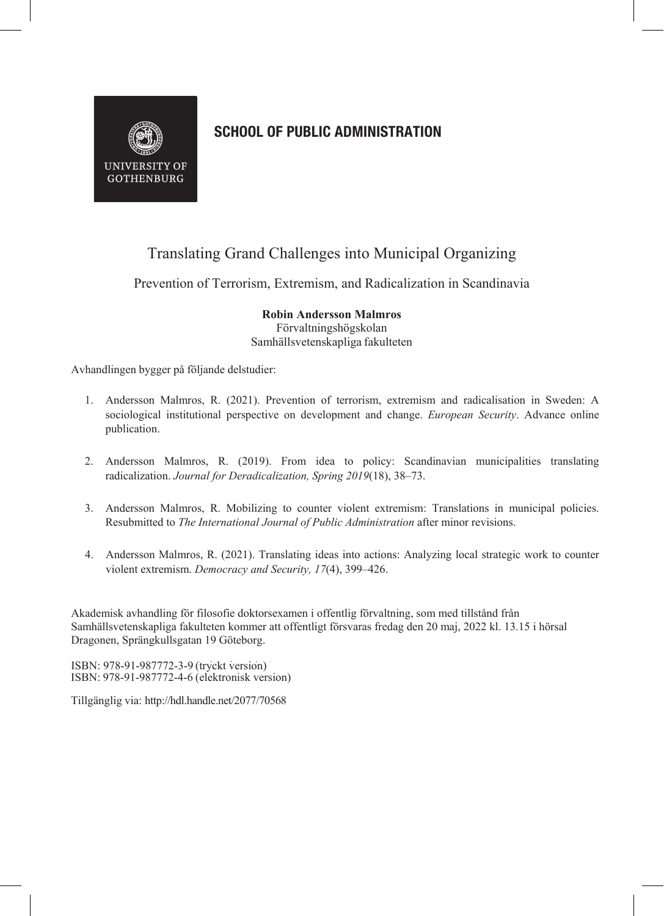

## **SCHOOL OF PUBLIC ADMINISTRATION**

## Translating Grand Challenges into Municipal Organizing

Prevention of Terrorism, Extremism, and Radicalization in Scandinavia

**Robin Andersson Malmros** Förvaltningshögskolan Samhällsvetenskapliga fakulteten

Avhandlingen bygger på följande delstudier:

- 1. Andersson Malmros, R. (2021). Prevention of terrorism, extremism and radicalisation in Sweden: A sociological institutional perspective on development and change. *European Security*. Advance online publication.
- 2. Andersson Malmros, R. (2019). From idea to policy: Scandinavian municipalities translating radicalization. *Journal for Deradicalization, Spring 2019*(18), 38–73.
- 3. Andersson Malmros, R. Mobilizing to counter violent extremism: Translations in municipal policies. Resubmitted to *The International Journal of Public Administration* after minor revisions.
- 4. Andersson Malmros, R. (2021). Translating ideas into actions: Analyzing local strategic work to counter violent extremism. *Democracy and Security, 17*(4), 399–426.

Akademisk avhandling för filosofie doktorsexamen i offentlig förvaltning, som med tillstånd från Samhällsvetenskapliga fakulteten kommer att offentligt försvaras fredag den 20 maj, 2022 kl. 13.15 i hörsal Dragonen, Sprängkullsgatan 19 Göteborg.

ISBN: 978-91-987772-3-9 (tryckt version) ISBN: 978-91-987772-4-6 (elektronisk version)

Tillgänglig via: http://hdl.handle.net/2077/70568